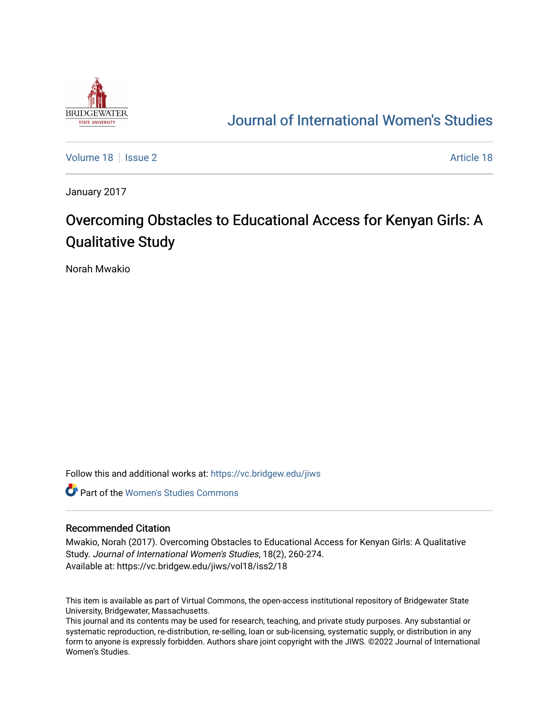

# [Journal of International Women's Studies](https://vc.bridgew.edu/jiws)

[Volume 18](https://vc.bridgew.edu/jiws/vol18) | [Issue 2](https://vc.bridgew.edu/jiws/vol18/iss2) [Article 18](https://vc.bridgew.edu/jiws/vol18/iss2/18) | Issue 2 Article 18 | Issue 2 Article 18 | Issue 2 Article 18 | Issue 2 Article 18

January 2017

# Overcoming Obstacles to Educational Access for Kenyan Girls: A Qualitative Study

Norah Mwakio

Follow this and additional works at: [https://vc.bridgew.edu/jiws](https://vc.bridgew.edu/jiws?utm_source=vc.bridgew.edu%2Fjiws%2Fvol18%2Fiss2%2F18&utm_medium=PDF&utm_campaign=PDFCoverPages)

**C** Part of the Women's Studies Commons

#### Recommended Citation

Mwakio, Norah (2017). Overcoming Obstacles to Educational Access for Kenyan Girls: A Qualitative Study. Journal of International Women's Studies, 18(2), 260-274. Available at: https://vc.bridgew.edu/jiws/vol18/iss2/18

This item is available as part of Virtual Commons, the open-access institutional repository of Bridgewater State University, Bridgewater, Massachusetts.

This journal and its contents may be used for research, teaching, and private study purposes. Any substantial or systematic reproduction, re-distribution, re-selling, loan or sub-licensing, systematic supply, or distribution in any form to anyone is expressly forbidden. Authors share joint copyright with the JIWS. ©2022 Journal of International Women's Studies.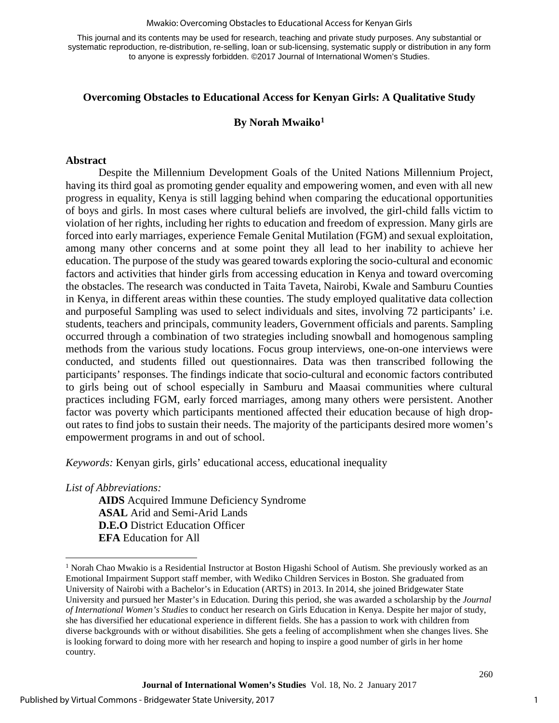#### Mwakio: Overcoming Obstacles to Educational Access for Kenyan Girls

This journal and its contents may be used for research, teaching and private study purposes. Any substantial or systematic reproduction, re-distribution, re-selling, loan or sub-licensing, systematic supply or distribution in any form to anyone is expressly forbidden. ©2017 Journal of International Women's Studies.

# **Overcoming Obstacles to Educational Access for Kenyan Girls: A Qualitative Study**

#### **By Norah Mwaik[o1](#page-1-0)**

#### **Abstract**

Despite the Millennium Development Goals of the United Nations Millennium Project, having its third goal as promoting gender equality and empowering women, and even with all new progress in equality, Kenya is still lagging behind when comparing the educational opportunities of boys and girls. In most cases where cultural beliefs are involved, the girl-child falls victim to violation of her rights, including her rights to education and freedom of expression. Many girls are forced into early marriages, experience Female Genital Mutilation (FGM) and sexual exploitation, among many other concerns and at some point they all lead to her inability to achieve her education. The purpose of the study was geared towards exploring the socio-cultural and economic factors and activities that hinder girls from accessing education in Kenya and toward overcoming the obstacles. The research was conducted in Taita Taveta, Nairobi, Kwale and Samburu Counties in Kenya, in different areas within these counties. The study employed qualitative data collection and purposeful Sampling was used to select individuals and sites, involving 72 participants' i.e. students, teachers and principals, community leaders, Government officials and parents. Sampling occurred through a combination of two strategies including snowball and homogenous sampling methods from the various study locations. Focus group interviews, one-on-one interviews were conducted, and students filled out questionnaires. Data was then transcribed following the participants' responses. The findings indicate that socio-cultural and economic factors contributed to girls being out of school especially in Samburu and Maasai communities where cultural practices including FGM, early forced marriages, among many others were persistent. Another factor was poverty which participants mentioned affected their education because of high dropout rates to find jobs to sustain their needs. The majority of the participants desired more women's empowerment programs in and out of school.

*Keywords:* Kenyan girls, girls' educational access, educational inequality

*List of Abbreviations:* 

 $\overline{\phantom{a}}$ 

**AIDS** Acquired Immune Deficiency Syndrome **ASAL** Arid and Semi-Arid Lands **D.E.O** District Education Officer **EFA** Education for All

1

<span id="page-1-0"></span><sup>&</sup>lt;sup>1</sup> Norah Chao Mwakio is a Residential Instructor at Boston Higashi School of Autism. She previously worked as an Emotional Impairment Support staff member, with Wediko Children Services in Boston. She graduated from University of Nairobi with a Bachelor's in Education (ARTS) in 2013. In 2014, she joined Bridgewater State University and pursued her Master's in Education. During this period, she was awarded a scholarship by the *Journal of International Women's Studies* to conduct her research on Girls Education in Kenya. Despite her major of study, she has diversified her educational experience in different fields. She has a passion to work with children from diverse backgrounds with or without disabilities. She gets a feeling of accomplishment when she changes lives. She is looking forward to doing more with her research and hoping to inspire a good number of girls in her home country.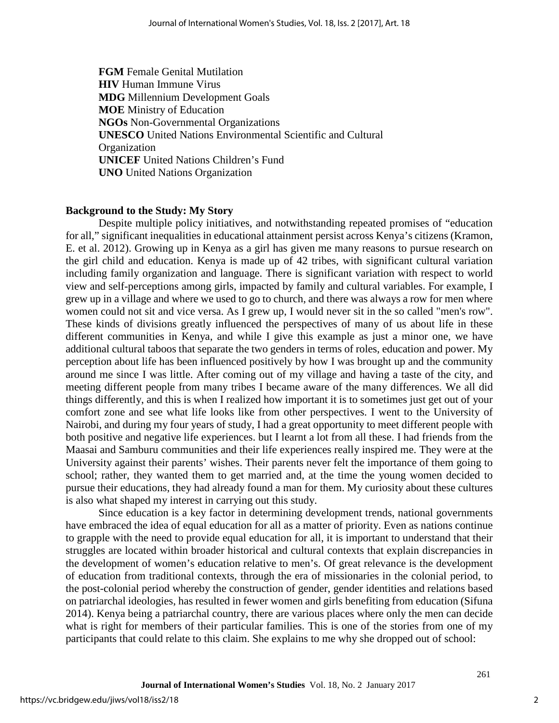**FGM** Female Genital Mutilation **HIV** Human Immune Virus **MDG** Millennium Development Goals **MOE** Ministry of Education **NGOs** Non-Governmental Organizations **UNESCO** United Nations Environmental Scientific and Cultural **Organization UNICEF** United Nations Children's Fund **UNO** United Nations Organization

# **Background to the Study: My Story**

Despite multiple policy initiatives, and notwithstanding repeated promises of "education for all," significant inequalities in educational attainment persist across Kenya's citizens (Kramon, E. et al. 2012). Growing up in Kenya as a girl has given me many reasons to pursue research on the girl child and education. Kenya is made up of 42 tribes, with significant cultural variation including family organization and language. There is significant variation with respect to world view and self-perceptions among girls, impacted by family and cultural variables. For example, I grew up in a village and where we used to go to church, and there was always a row for men where women could not sit and vice versa. As I grew up, I would never sit in the so called "men's row". These kinds of divisions greatly influenced the perspectives of many of us about life in these different communities in Kenya, and while I give this example as just a minor one, we have additional cultural taboos that separate the two genders in terms of roles, education and power. My perception about life has been influenced positively by how I was brought up and the community around me since I was little. After coming out of my village and having a taste of the city, and meeting different people from many tribes I became aware of the many differences. We all did things differently, and this is when I realized how important it is to sometimes just get out of your comfort zone and see what life looks like from other perspectives. I went to the University of Nairobi, and during my four years of study, I had a great opportunity to meet different people with both positive and negative life experiences. but I learnt a lot from all these. I had friends from the Maasai and Samburu communities and their life experiences really inspired me. They were at the University against their parents' wishes. Their parents never felt the importance of them going to school; rather, they wanted them to get married and, at the time the young women decided to pursue their educations, they had already found a man for them. My curiosity about these cultures is also what shaped my interest in carrying out this study.

Since education is a key factor in determining development trends, national governments have embraced the idea of equal education for all as a matter of priority. Even as nations continue to grapple with the need to provide equal education for all, it is important to understand that their struggles are located within broader historical and cultural contexts that explain discrepancies in the development of women's education relative to men's. Of great relevance is the development of education from traditional contexts, through the era of missionaries in the colonial period, to the post-colonial period whereby the construction of gender, gender identities and relations based on patriarchal ideologies, has resulted in fewer women and girls benefiting from education (Sifuna 2014). Kenya being a patriarchal country, there are various places where only the men can decide what is right for members of their particular families. This is one of the stories from one of my participants that could relate to this claim. She explains to me why she dropped out of school:

2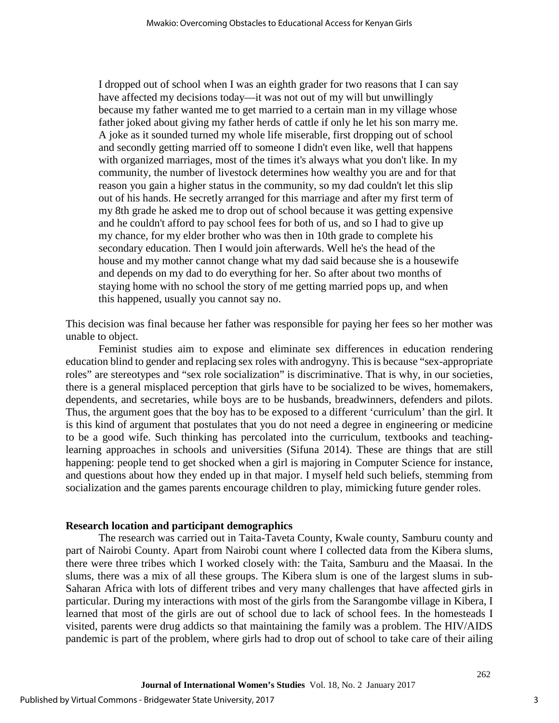I dropped out of school when I was an eighth grader for two reasons that I can say have affected my decisions today—it was not out of my will but unwillingly because my father wanted me to get married to a certain man in my village whose father joked about giving my father herds of cattle if only he let his son marry me. A joke as it sounded turned my whole life miserable, first dropping out of school and secondly getting married off to someone I didn't even like, well that happens with organized marriages, most of the times it's always what you don't like. In my community, the number of livestock determines how wealthy you are and for that reason you gain a higher status in the community, so my dad couldn't let this slip out of his hands. He secretly arranged for this marriage and after my first term of my 8th grade he asked me to drop out of school because it was getting expensive and he couldn't afford to pay school fees for both of us, and so I had to give up my chance, for my elder brother who was then in 10th grade to complete his secondary education. Then I would join afterwards. Well he's the head of the house and my mother cannot change what my dad said because she is a housewife and depends on my dad to do everything for her. So after about two months of staying home with no school the story of me getting married pops up, and when this happened, usually you cannot say no.

This decision was final because her father was responsible for paying her fees so her mother was unable to object.

Feminist studies aim to expose and eliminate sex differences in education rendering education blind to gender and replacing sex roles with androgyny. This is because "sex-appropriate roles" are stereotypes and "sex role socialization" is discriminative. That is why, in our societies, there is a general misplaced perception that girls have to be socialized to be wives, homemakers, dependents, and secretaries, while boys are to be husbands, breadwinners, defenders and pilots. Thus, the argument goes that the boy has to be exposed to a different 'curriculum' than the girl. It is this kind of argument that postulates that you do not need a degree in engineering or medicine to be a good wife. Such thinking has percolated into the curriculum, textbooks and teachinglearning approaches in schools and universities (Sifuna 2014). These are things that are still happening: people tend to get shocked when a girl is majoring in Computer Science for instance, and questions about how they ended up in that major. I myself held such beliefs, stemming from socialization and the games parents encourage children to play, mimicking future gender roles.

#### **Research location and participant demographics**

The research was carried out in Taita-Taveta County, Kwale county, Samburu county and part of Nairobi County. Apart from Nairobi count where I collected data from the Kibera slums, there were three tribes which I worked closely with: the Taita, Samburu and the Maasai. In the slums, there was a mix of all these groups. The Kibera slum is one of the largest slums in sub-Saharan Africa with lots of different tribes and very many challenges that have affected girls in particular. During my interactions with most of the girls from the Sarangombe village in Kibera, I learned that most of the girls are out of school due to lack of school fees. In the homesteads I visited, parents were drug addicts so that maintaining the family was a problem. The HIV/AIDS pandemic is part of the problem, where girls had to drop out of school to take care of their ailing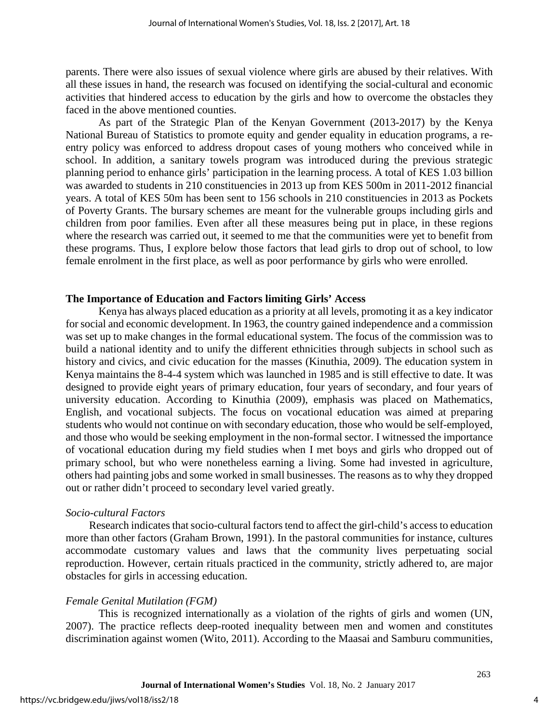parents. There were also issues of sexual violence where girls are abused by their relatives. With all these issues in hand, the research was focused on identifying the social-cultural and economic activities that hindered access to education by the girls and how to overcome the obstacles they faced in the above mentioned counties.

As part of the Strategic Plan of the Kenyan Government (2013-2017) by the Kenya National Bureau of Statistics to promote equity and gender equality in education programs, a reentry policy was enforced to address dropout cases of young mothers who conceived while in school. In addition, a sanitary towels program was introduced during the previous strategic planning period to enhance girls' participation in the learning process. A total of KES 1.03 billion was awarded to students in 210 constituencies in 2013 up from KES 500m in 2011-2012 financial years. A total of KES 50m has been sent to 156 schools in 210 constituencies in 2013 as Pockets of Poverty Grants. The bursary schemes are meant for the vulnerable groups including girls and children from poor families. Even after all these measures being put in place, in these regions where the research was carried out, it seemed to me that the communities were yet to benefit from these programs. Thus, I explore below those factors that lead girls to drop out of school, to low female enrolment in the first place, as well as poor performance by girls who were enrolled.

#### **The Importance of Education and Factors limiting Girls' Access**

Kenya has always placed education as a priority at all levels, promoting it as a key indicator for social and economic development. In 1963, the country gained independence and a commission was set up to make changes in the formal educational system. The focus of the commission was to build a national identity and to unify the different ethnicities through subjects in school such as history and civics, and civic education for the masses (Kinuthia, 2009). The education system in Kenya maintains the 8-4-4 system which was launched in 1985 and is still effective to date. It was designed to provide eight years of primary education, four years of secondary, and four years of university education. According to Kinuthia (2009), emphasis was placed on Mathematics, English, and vocational subjects. The focus on vocational education was aimed at preparing students who would not continue on with secondary education, those who would be self-employed, and those who would be seeking employment in the non-formal sector. I witnessed the importance of vocational education during my field studies when I met boys and girls who dropped out of primary school, but who were nonetheless earning a living. Some had invested in agriculture, others had painting jobs and some worked in small businesses. The reasons as to why they dropped out or rather didn't proceed to secondary level varied greatly.

# *Socio-cultural Factors*

 Research indicates that socio-cultural factors tend to affect the girl-child's access to education more than other factors (Graham Brown, 1991). In the pastoral communities for instance, cultures accommodate customary values and laws that the community lives perpetuating social reproduction. However, certain rituals practiced in the community, strictly adhered to, are major obstacles for girls in accessing education.

# *Female Genital Mutilation (FGM)*

This is recognized internationally as a violation of the rights of girls and women (UN, 2007). The practice reflects deep-rooted inequality between men and women and constitutes discrimination against women (Wito, 2011). According to the Maasai and Samburu communities,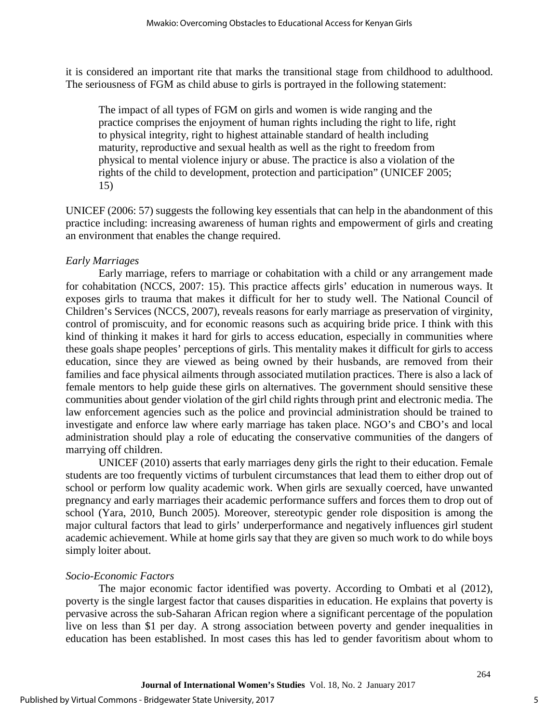it is considered an important rite that marks the transitional stage from childhood to adulthood. The seriousness of FGM as child abuse to girls is portrayed in the following statement:

The impact of all types of FGM on girls and women is wide ranging and the practice comprises the enjoyment of human rights including the right to life, right to physical integrity, right to highest attainable standard of health including maturity, reproductive and sexual health as well as the right to freedom from physical to mental violence injury or abuse. The practice is also a violation of the rights of the child to development, protection and participation" (UNICEF 2005; 15)

UNICEF (2006: 57) suggests the following key essentials that can help in the abandonment of this practice including: increasing awareness of human rights and empowerment of girls and creating an environment that enables the change required.

# *Early Marriages*

Early marriage, refers to marriage or cohabitation with a child or any arrangement made for cohabitation (NCCS, 2007: 15). This practice affects girls' education in numerous ways. It exposes girls to trauma that makes it difficult for her to study well. The National Council of Children's Services (NCCS, 2007), reveals reasons for early marriage as preservation of virginity, control of promiscuity, and for economic reasons such as acquiring bride price. I think with this kind of thinking it makes it hard for girls to access education, especially in communities where these goals shape peoples' perceptions of girls. This mentality makes it difficult for girls to access education, since they are viewed as being owned by their husbands, are removed from their families and face physical ailments through associated mutilation practices. There is also a lack of female mentors to help guide these girls on alternatives. The government should sensitive these communities about gender violation of the girl child rights through print and electronic media. The law enforcement agencies such as the police and provincial administration should be trained to investigate and enforce law where early marriage has taken place. NGO's and CBO's and local administration should play a role of educating the conservative communities of the dangers of marrying off children.

UNICEF (2010) asserts that early marriages deny girls the right to their education. Female students are too frequently victims of turbulent circumstances that lead them to either drop out of school or perform low quality academic work. When girls are sexually coerced, have unwanted pregnancy and early marriages their academic performance suffers and forces them to drop out of school (Yara, 2010, Bunch 2005). Moreover, stereotypic gender role disposition is among the major cultural factors that lead to girls' underperformance and negatively influences girl student academic achievement. While at home girls say that they are given so much work to do while boys simply loiter about.

# *Socio-Economic Factors*

The major economic factor identified was poverty. According to Ombati et al (2012), poverty is the single largest factor that causes disparities in education. He explains that poverty is pervasive across the sub-Saharan African region where a significant percentage of the population live on less than \$1 per day. A strong association between poverty and gender inequalities in education has been established. In most cases this has led to gender favoritism about whom to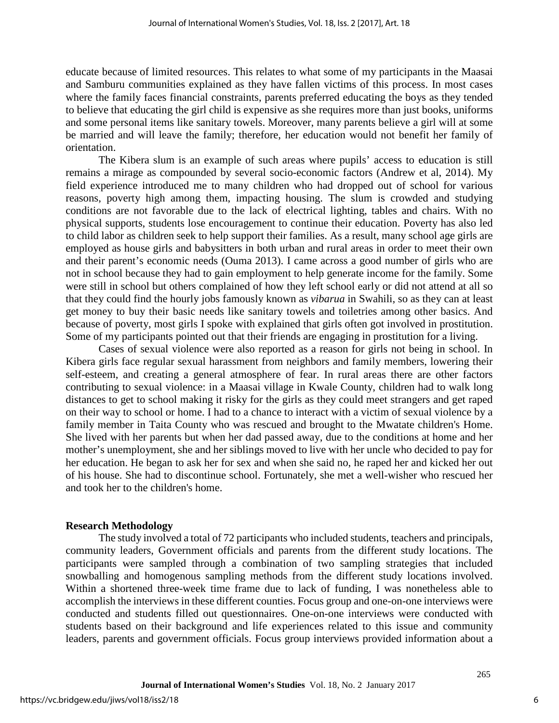educate because of limited resources. This relates to what some of my participants in the Maasai and Samburu communities explained as they have fallen victims of this process. In most cases where the family faces financial constraints, parents preferred educating the boys as they tended to believe that educating the girl child is expensive as she requires more than just books, uniforms and some personal items like sanitary towels. Moreover, many parents believe a girl will at some be married and will leave the family; therefore, her education would not benefit her family of orientation.

The Kibera slum is an example of such areas where pupils' access to education is still remains a mirage as compounded by several socio-economic factors (Andrew et al, 2014). My field experience introduced me to many children who had dropped out of school for various reasons, poverty high among them, impacting housing. The slum is crowded and studying conditions are not favorable due to the lack of electrical lighting, tables and chairs. With no physical supports, students lose encouragement to continue their education. Poverty has also led to child labor as children seek to help support their families. As a result, many school age girls are employed as house girls and babysitters in both urban and rural areas in order to meet their own and their parent's economic needs (Ouma 2013). I came across a good number of girls who are not in school because they had to gain employment to help generate income for the family. Some were still in school but others complained of how they left school early or did not attend at all so that they could find the hourly jobs famously known as *vibarua* in Swahili, so as they can at least get money to buy their basic needs like sanitary towels and toiletries among other basics. And because of poverty, most girls I spoke with explained that girls often got involved in prostitution. Some of my participants pointed out that their friends are engaging in prostitution for a living.

Cases of sexual violence were also reported as a reason for girls not being in school. In Kibera girls face regular sexual harassment from neighbors and family members, lowering their self-esteem, and creating a general atmosphere of fear. In rural areas there are other factors contributing to sexual violence: in a Maasai village in Kwale County, children had to walk long distances to get to school making it risky for the girls as they could meet strangers and get raped on their way to school or home. I had to a chance to interact with a victim of sexual violence by a family member in Taita County who was rescued and brought to the Mwatate children's Home. She lived with her parents but when her dad passed away, due to the conditions at home and her mother's unemployment, she and her siblings moved to live with her uncle who decided to pay for her education. He began to ask her for sex and when she said no, he raped her and kicked her out of his house. She had to discontinue school. Fortunately, she met a well-wisher who rescued her and took her to the children's home.

#### **Research Methodology**

The study involved a total of 72 participants who included students, teachers and principals, community leaders, Government officials and parents from the different study locations. The participants were sampled through a combination of two sampling strategies that included snowballing and homogenous sampling methods from the different study locations involved. Within a shortened three-week time frame due to lack of funding, I was nonetheless able to accomplish the interviews in these different counties. Focus group and one-on-one interviews were conducted and students filled out questionnaires. One-on-one interviews were conducted with students based on their background and life experiences related to this issue and community leaders, parents and government officials. Focus group interviews provided information about a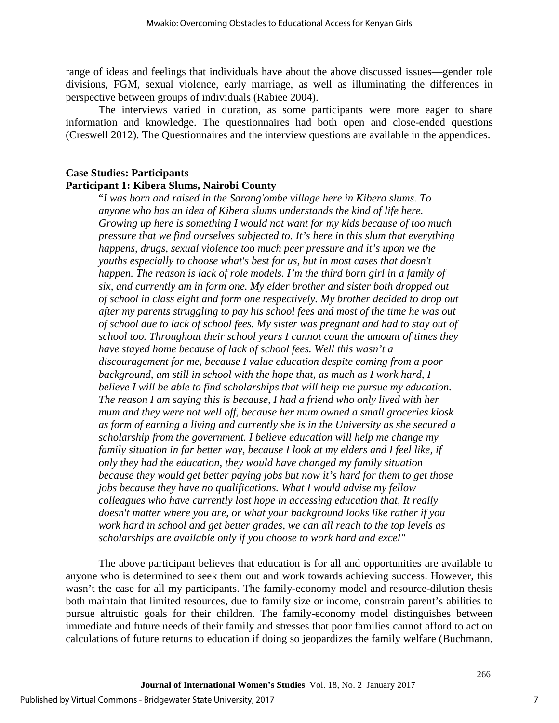range of ideas and feelings that individuals have about the above discussed issues—gender role divisions, FGM, sexual violence, early marriage, as well as illuminating the differences in perspective between groups of individuals (Rabiee 2004).

The interviews varied in duration, as some participants were more eager to share information and knowledge. The questionnaires had both open and close-ended questions (Creswell 2012). The Questionnaires and the interview questions are available in the appendices.

# **Case Studies: Participants Participant 1: Kibera Slums, Nairobi County**

"*I was born and raised in the Sarang'ombe village here in Kibera slums. To anyone who has an idea of Kibera slums understands the kind of life here. Growing up here is something I would not want for my kids because of too much pressure that we find ourselves subjected to. It's here in this slum that everything happens, drugs, sexual violence too much peer pressure and it's upon we the youths especially to choose what's best for us, but in most cases that doesn't happen. The reason is lack of role models. I'm the third born girl in a family of six, and currently am in form one. My elder brother and sister both dropped out of school in class eight and form one respectively. My brother decided to drop out after my parents struggling to pay his school fees and most of the time he was out of school due to lack of school fees. My sister was pregnant and had to stay out of school too. Throughout their school years I cannot count the amount of times they have stayed home because of lack of school fees. Well this wasn't a discouragement for me, because I value education despite coming from a poor background, am still in school with the hope that, as much as I work hard, I believe I will be able to find scholarships that will help me pursue my education. The reason I am saying this is because, I had a friend who only lived with her mum and they were not well off, because her mum owned a small groceries kiosk as form of earning a living and currently she is in the University as she secured a scholarship from the government. I believe education will help me change my family situation in far better way, because I look at my elders and I feel like, if only they had the education, they would have changed my family situation because they would get better paying jobs but now it's hard for them to get those jobs because they have no qualifications. What I would advise my fellow colleagues who have currently lost hope in accessing education that, It really doesn't matter where you are, or what your background looks like rather if you work hard in school and get better grades, we can all reach to the top levels as scholarships are available only if you choose to work hard and excel"* 

The above participant believes that education is for all and opportunities are available to anyone who is determined to seek them out and work towards achieving success. However, this wasn't the case for all my participants. The family-economy model and resource-dilution thesis both maintain that limited resources, due to family size or income, constrain parent's abilities to pursue altruistic goals for their children. The family-economy model distinguishes between immediate and future needs of their family and stresses that poor families cannot afford to act on calculations of future returns to education if doing so jeopardizes the family welfare (Buchmann,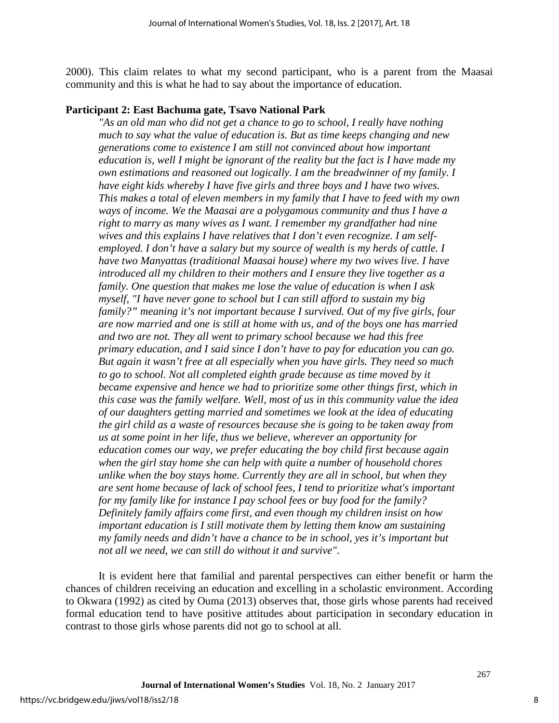2000). This claim relates to what my second participant, who is a parent from the Maasai community and this is what he had to say about the importance of education.

#### **Participant 2: East Bachuma gate, Tsavo National Park**

*As an old man who did not get a chance to go to school, I really have nothing much to say what the value of education is. But as time keeps changing and new generations come to existence I am still not convinced about how important education is, well I might be ignorant of the reality but the fact is I have made my own estimations and reasoned out logically. I am the breadwinner of my family. I have eight kids whereby I have five girls and three boys and I have two wives. This makes a total of eleven members in my family that I have to feed with my own ways of income. We the Maasai are a polygamous community and thus I have a right to marry as many wives as I want. I remember my grandfather had nine wives and this explains I have relatives that I don't even recognize. I am selfemployed. I don't have a salary but my source of wealth is my herds of cattle. I have two Manyattas (traditional Maasai house) where my two wives live. I have introduced all my children to their mothers and I ensure they live together as a family. One question that makes me lose the value of education is when I ask myself, "I have never gone to school but I can still afford to sustain my big family?" meaning it's not important because I survived. Out of my five girls, four are now married and one is still at home with us, and of the boys one has married and two are not. They all went to primary school because we had this free primary education, and I said since I don't have to pay for education you can go. But again it wasn't free at all especially when you have girls. They need so much to go to school. Not all completed eighth grade because as time moved by it became expensive and hence we had to prioritize some other things first, which in this case was the family welfare. Well, most of us in this community value the idea of our daughters getting married and sometimes we look at the idea of educating the girl child as a waste of resources because she is going to be taken away from us at some point in her life, thus we believe, wherever an opportunity for education comes our way, we prefer educating the boy child first because again when the girl stay home she can help with quite a number of household chores unlike when the boy stays home. Currently they are all in school, but when they are sent home because of lack of school fees, I tend to prioritize what's important for my family like for instance I pay school fees or buy food for the family? Definitely family affairs come first, and even though my children insist on how important education is I still motivate them by letting them know am sustaining my family needs and didn't have a chance to be in school, yes it's important but not all we need, we can still do without it and survive"*.

It is evident here that familial and parental perspectives can either benefit or harm the chances of children receiving an education and excelling in a scholastic environment. According to Okwara (1992) as cited by Ouma (2013) observes that, those girls whose parents had received formal education tend to have positive attitudes about participation in secondary education in contrast to those girls whose parents did not go to school at all.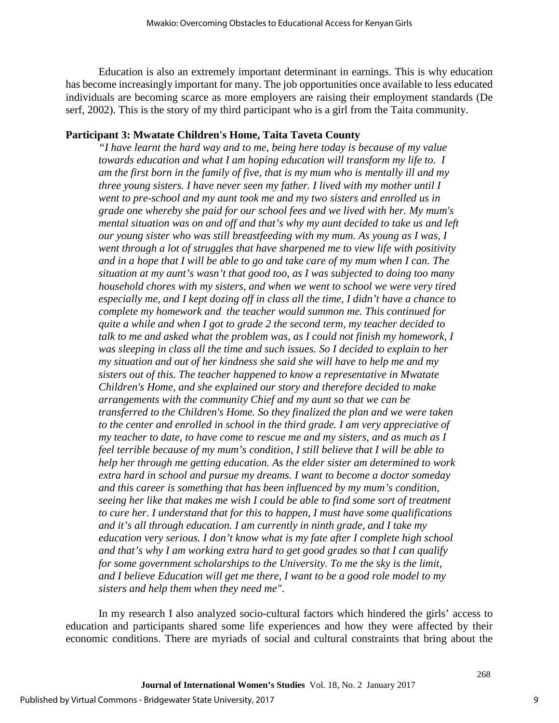Education is also an extremely important determinant in earnings. This is why education has become increasingly important for many. The job opportunities once available to less educated individuals are becoming scarce as more employers are raising their employment standards (De serf, 2002). This is the story of my third participant who is a girl from the Taita community.

# **Participant 3: Mwatate Children's Home, Taita Taveta County**

*"I have learnt the hard way and to me, being here today is because of my value towards education and what I am hoping education will transform my life to. I am the first born in the family of five, that is my mum who is mentally ill and my three young sisters. I have never seen my father. I lived with my mother until I went to pre-school and my aunt took me and my two sisters and enrolled us in grade one whereby she paid for our school fees and we lived with her. My mum's mental situation was on and off and that's why my aunt decided to take us and left our young sister who was still breastfeeding with my mum. As young as I was, I went through a lot of struggles that have sharpened me to view life with positivity and in a hope that I will be able to go and take care of my mum when I can. The situation at my aunt's wasn't that good too, as I was subjected to doing too many household chores with my sisters, and when we went to school we were very tired especially me, and I kept dozing off in class all the time, I didn't have a chance to complete my homework and the teacher would summon me. This continued for quite a while and when I got to grade 2 the second term, my teacher decided to*  talk to me and asked what the problem was, as I could not finish my homework, I *was sleeping in class all the time and such issues. So I decided to explain to her my situation and out of her kindness she said she will have to help me and my sisters out of this. The teacher happened to know a representative in Mwatate Children's Home, and she explained our story and therefore decided to make arrangements with the community Chief and my aunt so that we can be transferred to the Children's Home. So they finalized the plan and we were taken to the center and enrolled in school in the third grade. I am very appreciative of my teacher to date, to have come to rescue me and my sisters, and as much as I feel terrible because of my mum's condition, I still believe that I will be able to help her through me getting education. As the elder sister am determined to work extra hard in school and pursue my dreams. I want to become a doctor someday and this career is something that has been influenced by my mum's condition, seeing her like that makes me wish I could be able to find some sort of treatment to cure her. I understand that for this to happen, I must have some qualifications and it's all through education. I am currently in ninth grade, and I take my education very serious. I don't know what is my fate after I complete high school and that's why I am working extra hard to get good grades so that I can qualify for some government scholarships to the University. To me the sky is the limit, and I believe Education will get me there, I want to be a good role model to my sisters and help them when they need me"*.

In my research I also analyzed socio-cultural factors which hindered the girls' access to education and participants shared some life experiences and how they were affected by their economic conditions. There are myriads of social and cultural constraints that bring about the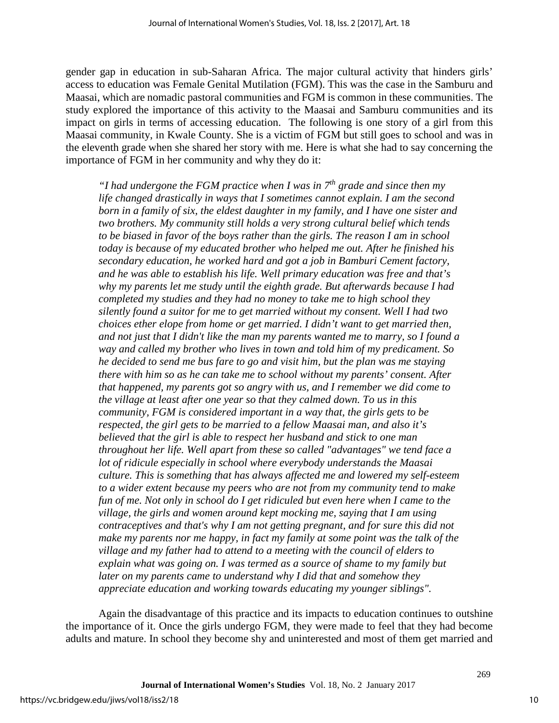gender gap in education in sub-Saharan Africa. The major cultural activity that hinders girls' access to education was Female Genital Mutilation (FGM). This was the case in the Samburu and Maasai, which are nomadic pastoral communities and FGM is common in these communities. The study explored the importance of this activity to the Maasai and Samburu communities and its impact on girls in terms of accessing education. The following is one story of a girl from this Maasai community, in Kwale County. She is a victim of FGM but still goes to school and was in the eleventh grade when she shared her story with me. Here is what she had to say concerning the importance of FGM in her community and why they do it:

*"I had undergone the FGM practice when I was in 7th grade and since then my life changed drastically in ways that I sometimes cannot explain. I am the second born in a family of six, the eldest daughter in my family, and I have one sister and two brothers. My community still holds a very strong cultural belief which tends to be biased in favor of the boys rather than the girls. The reason I am in school today is because of my educated brother who helped me out. After he finished his secondary education, he worked hard and got a job in Bamburi Cement factory, and he was able to establish his life. Well primary education was free and that's why my parents let me study until the eighth grade. But afterwards because I had completed my studies and they had no money to take me to high school they silently found a suitor for me to get married without my consent. Well I had two choices ether elope from home or get married. I didn't want to get married then, and not just that I didn't like the man my parents wanted me to marry, so I found a way and called my brother who lives in town and told him of my predicament. So he decided to send me bus fare to go and visit him, but the plan was me staying there with him so as he can take me to school without my parents' consent. After that happened, my parents got so angry with us, and I remember we did come to the village at least after one year so that they calmed down. To us in this community, FGM is considered important in a way that, the girls gets to be respected, the girl gets to be married to a fellow Maasai man, and also it's believed that the girl is able to respect her husband and stick to one man throughout her life. Well apart from these so called "advantages" we tend face a lot of ridicule especially in school where everybody understands the Maasai culture. This is something that has always affected me and lowered my self-esteem to a wider extent because my peers who are not from my community tend to make fun of me. Not only in school do I get ridiculed but even here when I came to the village, the girls and women around kept mocking me, saying that I am using contraceptives and that's why I am not getting pregnant, and for sure this did not make my parents nor me happy, in fact my family at some point was the talk of the village and my father had to attend to a meeting with the council of elders to explain what was going on. I was termed as a source of shame to my family but later on my parents came to understand why I did that and somehow they appreciate education and working towards educating my younger siblings".*

Again the disadvantage of this practice and its impacts to education continues to outshine the importance of it. Once the girls undergo FGM, they were made to feel that they had become adults and mature. In school they become shy and uninterested and most of them get married and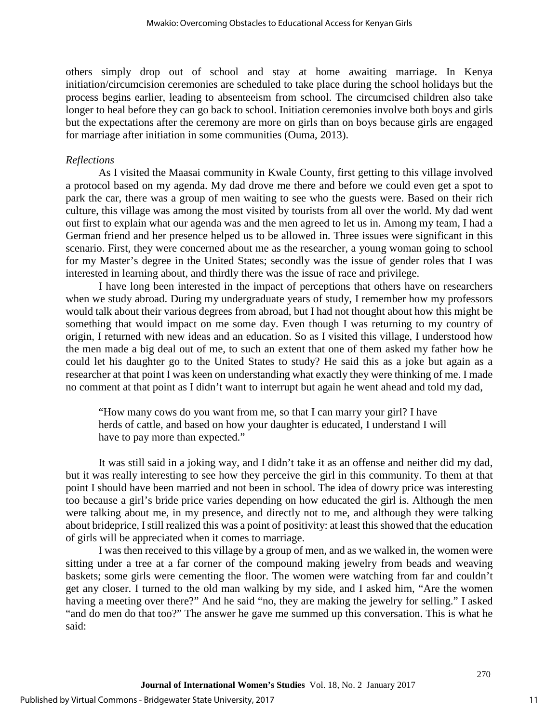others simply drop out of school and stay at home awaiting marriage. In Kenya initiation/circumcision ceremonies are scheduled to take place during the school holidays but the process begins earlier, leading to absenteeism from school. The circumcised children also take longer to heal before they can go back to school. Initiation ceremonies involve both boys and girls but the expectations after the ceremony are more on girls than on boys because girls are engaged for marriage after initiation in some communities (Ouma, 2013).

#### *Reflections*

As I visited the Maasai community in Kwale County, first getting to this village involved a protocol based on my agenda. My dad drove me there and before we could even get a spot to park the car, there was a group of men waiting to see who the guests were. Based on their rich culture, this village was among the most visited by tourists from all over the world. My dad went out first to explain what our agenda was and the men agreed to let us in. Among my team, I had a German friend and her presence helped us to be allowed in. Three issues were significant in this scenario. First, they were concerned about me as the researcher, a young woman going to school for my Master's degree in the United States; secondly was the issue of gender roles that I was interested in learning about, and thirdly there was the issue of race and privilege.

I have long been interested in the impact of perceptions that others have on researchers when we study abroad. During my undergraduate years of study, I remember how my professors would talk about their various degrees from abroad, but I had not thought about how this might be something that would impact on me some day. Even though I was returning to my country of origin, I returned with new ideas and an education. So as I visited this village, I understood how the men made a big deal out of me, to such an extent that one of them asked my father how he could let his daughter go to the United States to study? He said this as a joke but again as a researcher at that point I was keen on understanding what exactly they were thinking of me. I made no comment at that point as I didn't want to interrupt but again he went ahead and told my dad,

"How many cows do you want from me, so that I can marry your girl? I have herds of cattle, and based on how your daughter is educated, I understand I will have to pay more than expected."

It was still said in a joking way, and I didn't take it as an offense and neither did my dad, but it was really interesting to see how they perceive the girl in this community. To them at that point I should have been married and not been in school. The idea of dowry price was interesting too because a girl's bride price varies depending on how educated the girl is. Although the men were talking about me, in my presence, and directly not to me, and although they were talking about brideprice, I still realized this was a point of positivity: at least this showed that the education of girls will be appreciated when it comes to marriage.

I was then received to this village by a group of men, and as we walked in, the women were sitting under a tree at a far corner of the compound making jewelry from beads and weaving baskets; some girls were cementing the floor. The women were watching from far and couldn't get any closer. I turned to the old man walking by my side, and I asked him, "Are the women having a meeting over there?" And he said "no, they are making the jewelry for selling." I asked "and do men do that too?" The answer he gave me summed up this conversation. This is what he said: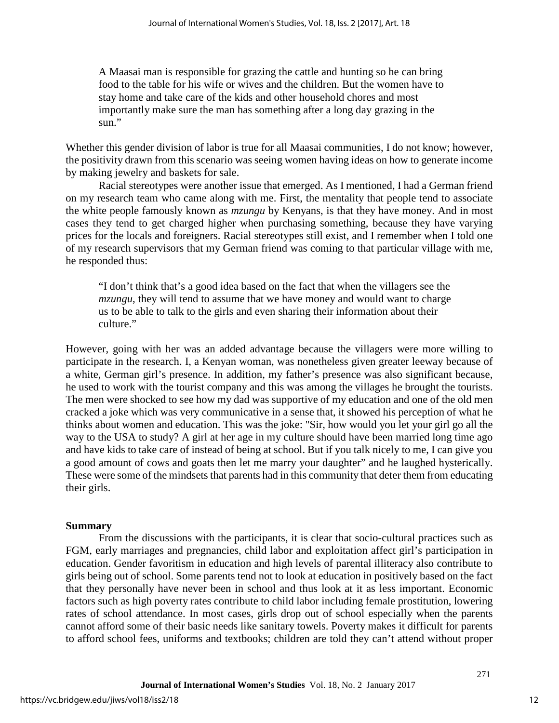A Maasai man is responsible for grazing the cattle and hunting so he can bring food to the table for his wife or wives and the children. But the women have to stay home and take care of the kids and other household chores and most importantly make sure the man has something after a long day grazing in the sun."

Whether this gender division of labor is true for all Maasai communities, I do not know; however, the positivity drawn from this scenario was seeing women having ideas on how to generate income by making jewelry and baskets for sale.

Racial stereotypes were another issue that emerged. As I mentioned, I had a German friend on my research team who came along with me. First, the mentality that people tend to associate the white people famously known as *mzungu* by Kenyans, is that they have money. And in most cases they tend to get charged higher when purchasing something, because they have varying prices for the locals and foreigners. Racial stereotypes still exist, and I remember when I told one of my research supervisors that my German friend was coming to that particular village with me, he responded thus:

"I don't think that's a good idea based on the fact that when the villagers see the *mzungu*, they will tend to assume that we have money and would want to charge us to be able to talk to the girls and even sharing their information about their culture."

However, going with her was an added advantage because the villagers were more willing to participate in the research. I, a Kenyan woman, was nonetheless given greater leeway because of a white, German girl's presence. In addition, my father's presence was also significant because, he used to work with the tourist company and this was among the villages he brought the tourists. The men were shocked to see how my dad was supportive of my education and one of the old men cracked a joke which was very communicative in a sense that, it showed his perception of what he thinks about women and education. This was the joke: "Sir, how would you let your girl go all the way to the USA to study? A girl at her age in my culture should have been married long time ago and have kids to take care of instead of being at school. But if you talk nicely to me, I can give you a good amount of cows and goats then let me marry your daughter" and he laughed hysterically. These were some of the mindsets that parents had in this community that deter them from educating their girls.

# **Summary**

From the discussions with the participants, it is clear that socio-cultural practices such as FGM, early marriages and pregnancies, child labor and exploitation affect girl's participation in education. Gender favoritism in education and high levels of parental illiteracy also contribute to girls being out of school. Some parents tend not to look at education in positively based on the fact that they personally have never been in school and thus look at it as less important. Economic factors such as high poverty rates contribute to child labor including female prostitution, lowering rates of school attendance. In most cases, girls drop out of school especially when the parents cannot afford some of their basic needs like sanitary towels. Poverty makes it difficult for parents to afford school fees, uniforms and textbooks; children are told they can't attend without proper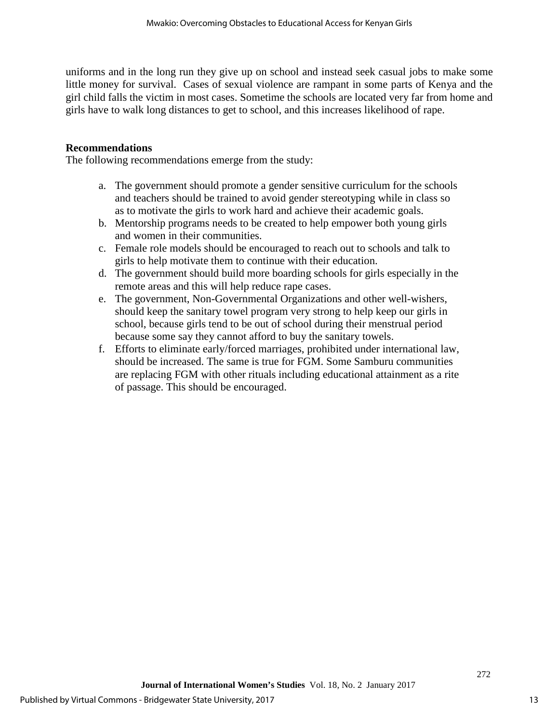uniforms and in the long run they give up on school and instead seek casual jobs to make some little money for survival. Cases of sexual violence are rampant in some parts of Kenya and the girl child falls the victim in most cases. Sometime the schools are located very far from home and girls have to walk long distances to get to school, and this increases likelihood of rape.

#### **Recommendations**

The following recommendations emerge from the study:

- a. The government should promote a gender sensitive curriculum for the schools and teachers should be trained to avoid gender stereotyping while in class so as to motivate the girls to work hard and achieve their academic goals.
- b. Mentorship programs needs to be created to help empower both young girls and women in their communities.
- c. Female role models should be encouraged to reach out to schools and talk to girls to help motivate them to continue with their education.
- d. The government should build more boarding schools for girls especially in the remote areas and this will help reduce rape cases.
- e. The government, Non-Governmental Organizations and other well-wishers, should keep the sanitary towel program very strong to help keep our girls in school, because girls tend to be out of school during their menstrual period because some say they cannot afford to buy the sanitary towels.
- f. Efforts to eliminate early/forced marriages, prohibited under international law, should be increased. The same is true for FGM. Some Samburu communities are replacing FGM with other rituals including educational attainment as a rite of passage. This should be encouraged.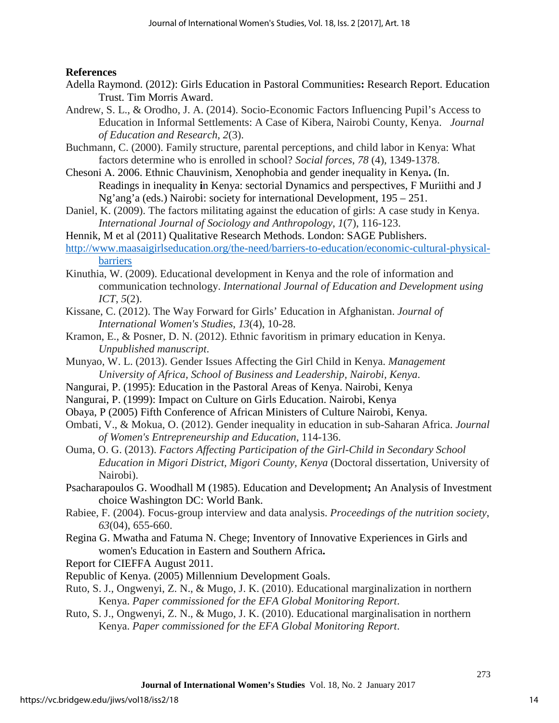# **References**

- Adella Raymond. (2012): Girls Education in Pastoral Communities**:** Research Report. Education Trust. Tim Morris Award.
- Andrew, S. L., & Orodho, J. A. (2014). Socio-Economic Factors Influencing Pupil's Access to Education in Informal Settlements: A Case of Kibera, Nairobi County, Kenya. *Journal of Education and Research*, *2*(3).
- Buchmann, C. (2000). Family structure, parental perceptions, and child labor in Kenya: What factors determine who is enrolled in school? *Social forces*, *78* (4), 1349-1378.
- Chesoni A. 2006. Ethnic Chauvinism, Xenophobia and gender inequality in Kenya**.** (In. Readings in inequality **i**n Kenya: sectorial Dynamics and perspectives, F Muriithi and J Ng'ang'a (eds.) Nairobi: society for international Development, 195 – 251.
- Daniel, K. (2009). The factors militating against the education of girls: A case study in Kenya. *International Journal of Sociology and Anthropology*, *1*(7), 116-123.
- Hennik, M et al (2011) Qualitative Research Methods. London: SAGE Publishers.
- [http://www.maasaigirlseducation.org/the-need/barriers-to-education/economic-cultural-physical](http://www.maasaigirlseducation.org/the-need/barriers-to-education/economic-cultural-physical-barriers)[barriers](http://www.maasaigirlseducation.org/the-need/barriers-to-education/economic-cultural-physical-barriers)
- Kinuthia, W. (2009). Educational development in Kenya and the role of information and communication technology. *International Journal of Education and Development using ICT*, *5*(2).
- Kissane, C. (2012). The Way Forward for Girls' Education in Afghanistan. *Journal of International Women's Studies*, *13*(4), 10-28.
- Kramon, E., & Posner, D. N. (2012). Ethnic favoritism in primary education in Kenya. *Unpublished manuscript*.
- Munyao, W. L. (2013). Gender Issues Affecting the Girl Child in Kenya. *Management University of Africa, School of Business and Leadership, Nairobi, Kenya*.
- Nangurai, P. (1995): Education in the Pastoral Areas of Kenya. Nairobi, Kenya
- Nangurai, P. (1999): Impact on Culture on Girls Education. Nairobi, Kenya
- Obaya, P (2005) Fifth Conference of African Ministers of Culture Nairobi, Kenya.
- Ombati, V., & Mokua, O. (2012). Gender inequality in education in sub-Saharan Africa. *Journal of Women's Entrepreneurship and Education*, 114-136.
- Ouma, O. G. (2013). *Factors Affecting Participation of the Girl-Child in Secondary School Education in Migori District, Migori County, Kenya* (Doctoral dissertation, University of Nairobi).

Psacharapoulos G. Woodhall M (1985). Education and Development**;** An Analysis of Investment choice Washington DC: World Bank.

- Rabiee, F. (2004). Focus-group interview and data analysis. *Proceedings of the nutrition society*, *63*(04), 655-660.
- Regina G. Mwatha and Fatuma N. Chege; Inventory of Innovative Experiences in Girls and women's Education in Eastern and Southern Africa**.**

Report for CIEFFA August 2011.

Republic of Kenya. (2005) Millennium Development Goals.

- Ruto, S. J., Ongwenyi, Z. N., & Mugo, J. K. (2010). Educational marginalization in northern Kenya. *Paper commissioned for the EFA Global Monitoring Report*.
- Ruto, S. J., Ongwenyi, Z. N., & Mugo, J. K. (2010). Educational marginalisation in northern Kenya. *Paper commissioned for the EFA Global Monitoring Report*.